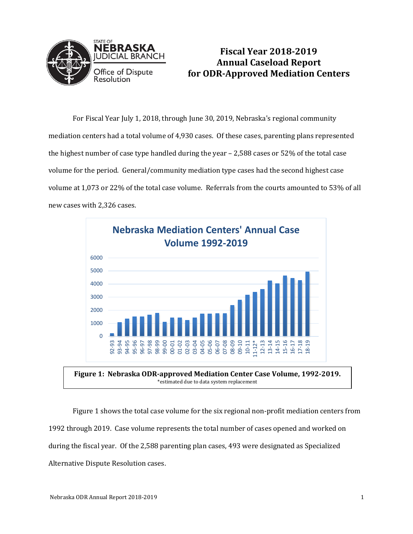

## **Fiscal Year 2018-2019 Annual Caseload Report for ODR-Approved Mediation Centers**

For Fiscal Year July 1, 2018, through June 30, 2019, Nebraska's regional community mediation centers had a total volume of 4,930 cases. Of these cases, parenting plans represented the highest number of case type handled during the year – 2,588 cases or 52% of the total case volume for the period. General/community mediation type cases had the second highest case volume at 1,073 or 22% of the total case volume. Referrals from the courts amounted to 53% of all new cases with 2,326 cases.



Figure 1 shows the total case volume for the six regional non-profit mediation centers from 1992 through 2019. Case volume represents the total number of cases opened and worked on during the fiscal year. Of the 2,588 parenting plan cases, 493 were designated as Specialized Alternative Dispute Resolution cases.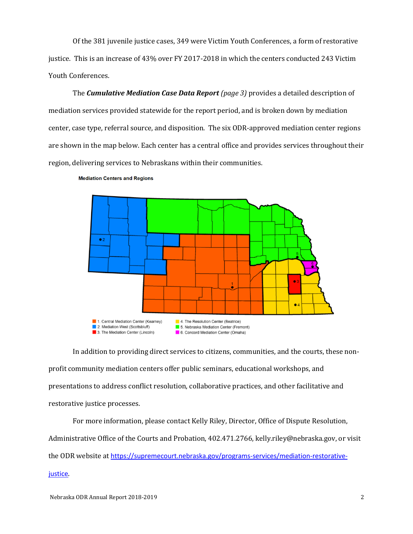Of the 381 juvenile justice cases, 349 were Victim Youth Conferences, a form of restorative justice. This is an increase of 43% over FY 2017-2018 in which the centers conducted 243 Victim Youth Conferences.

The *Cumulative Mediation Case Data Report (page 3)* provides a detailed description of mediation services provided statewide for the report period, and is broken down by mediation center, case type, referral source, and disposition. The six ODR-approved mediation center regions are shown in the map below. Each center has a central office and provides services throughout their region, delivering services to Nebraskans within their communities.



## **Mediation Centers and Regions**

In addition to providing direct services to citizens, communities, and the courts, these nonprofit community mediation centers offer public seminars, educational workshops, and presentations to address conflict resolution, collaborative practices, and other facilitative and restorative justice processes.

For more information, please contact Kelly Riley, Director, Office of Dispute Resolution, Administrative Office of the Courts and Probation, 402.471.2766, kelly.riley@nebraska.gov, or visit the ODR website at [https://supremecourt.nebraska.gov/programs-services/mediation-restorative](https://supremecourt.nebraska.gov/programs-services/mediation-restorative-justice)[justice](https://supremecourt.nebraska.gov/programs-services/mediation-restorative-justice).